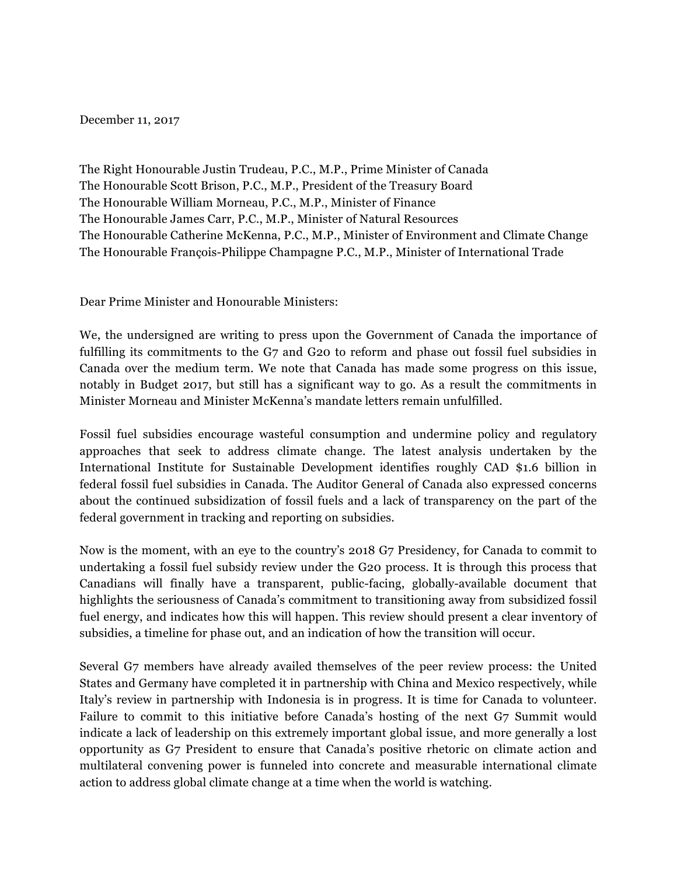## December 11, 2017

The Right Honourable Justin Trudeau, P.C., M.P., Prime Minister of Canada The Honourable Scott Brison, P.C., M.P., President of the Treasury Board The Honourable William Morneau, P.C., M.P., Minister of Finance The Honourable James Carr, P.C., M.P., Minister of Natural Resources The Honourable Catherine McKenna, P.C., M.P., Minister of Environment and Climate Change The Honourable François-Philippe Champagne P.C., M.P., Minister of International Trade

Dear Prime Minister and Honourable Ministers:

We, the undersigned are writing to press upon the Government of Canada the importance of fulfilling its commitments to the G7 and G20 to reform and phase out fossil fuel subsidies in Canada over the medium term. We note that Canada has made some progress on this issue, notably in Budget 2017, but still has a significant way to go. As a result the commitments in Minister Morneau and Minister McKenna's mandate letters remain unfulfilled.

Fossil fuel subsidies encourage wasteful consumption and undermine policy and regulatory approaches that seek to address climate change. The latest analysis undertaken by the International Institute for Sustainable Development identifies roughly CAD \$1.6 billion in federal fossil fuel subsidies in Canada. The Auditor General of Canada also expressed concerns about the continued subsidization of fossil fuels and a lack of transparency on the part of the federal government in tracking and reporting on subsidies.

Now is the moment, with an eye to the country's 2018 G7 Presidency, for Canada to commit to undertaking a fossil fuel subsidy review under the G20 process. It is through this process that Canadians will finally have a transparent, public-facing, globally-available document that highlights the seriousness of Canada's commitment to transitioning away from subsidized fossil fuel energy, and indicates how this will happen. This review should present a clear inventory of subsidies, a timeline for phase out, and an indication of how the transition will occur.

Several G7 members have already availed themselves of the peer review process: the United States and Germany have completed it in partnership with China and Mexico respectively, while Italy's review in partnership with Indonesia is in progress. It is time for Canada to volunteer. Failure to commit to this initiative before Canada's hosting of the next G7 Summit would indicate a lack of leadership on this extremely important global issue, and more generally a lost opportunity as G7 President to ensure that Canada's positive rhetoric on climate action and multilateral convening power is funneled into concrete and measurable international climate action to address global climate change at a time when the world is watching.